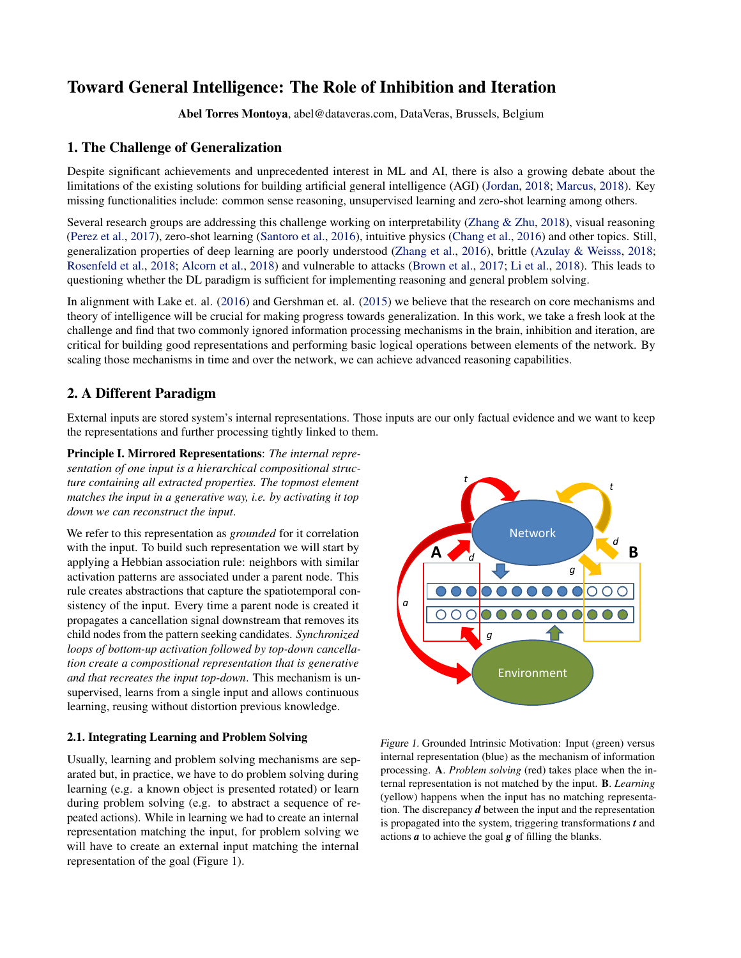# Toward General Intelligence: The Role of Inhibition and Iteration

Abel Torres Montoya, abel@dataveras.com, DataVeras, Brussels, Belgium

### 1. The Challenge of Generalization

Despite significant achievements and unprecedented interest in ML and AI, there is also a growing debate about the limitations of the existing solutions for building artificial general intelligence (AGI) [\(Jordan,](#page-2-0) [2018;](#page-2-0) [Marcus,](#page-2-0) [2018\)](#page-2-0). Key missing functionalities include: common sense reasoning, unsupervised learning and zero-shot learning among others.

Several research groups are addressing this challenge working on interpretability [\(Zhang & Zhu,](#page-2-0) [2018\)](#page-2-0), visual reasoning [\(Perez et al.,](#page-2-0) [2017\)](#page-2-0), zero-shot learning [\(Santoro et al.,](#page-2-0) [2016\)](#page-2-0), intuitive physics [\(Chang et al.,](#page-2-0) [2016\)](#page-2-0) and other topics. Still, generalization properties of deep learning are poorly understood [\(Zhang et al.,](#page-2-0) [2016\)](#page-2-0), brittle [\(Azulay & Weisss,](#page-2-0) [2018;](#page-2-0) [Rosenfeld et al.,](#page-2-0) [2018;](#page-2-0) [Alcorn et al.,](#page-2-0) [2018\)](#page-2-0) and vulnerable to attacks [\(Brown et al.,](#page-2-0) [2017;](#page-2-0) [Li et al.,](#page-2-0) [2018\)](#page-2-0). This leads to questioning whether the DL paradigm is sufficient for implementing reasoning and general problem solving.

In alignment with Lake et. al. [\(2016\)](#page-2-0) and Gershman et. al. [\(2015\)](#page-2-0) we believe that the research on core mechanisms and theory of intelligence will be crucial for making progress towards generalization. In this work, we take a fresh look at the challenge and find that two commonly ignored information processing mechanisms in the brain, inhibition and iteration, are critical for building good representations and performing basic logical operations between elements of the network. By scaling those mechanisms in time and over the network, we can achieve advanced reasoning capabilities.

## 2. A Different Paradigm

External inputs are stored system's internal representations. Those inputs are our only factual evidence and we want to keep the representations and further processing tightly linked to them.

Principle I. Mirrored Representations: *The internal representation of one input is a hierarchical compositional structure containing all extracted properties. The topmost element matches the input in a generative way, i.e. by activating it top down we can reconstruct the input*.

We refer to this representation as *grounded* for it correlation with the input. To build such representation we will start by applying a Hebbian association rule: neighbors with similar activation patterns are associated under a parent node. This rule creates abstractions that capture the spatiotemporal consistency of the input. Every time a parent node is created it propagates a cancellation signal downstream that removes its child nodes from the pattern seeking candidates. *Synchronized loops of bottom-up activation followed by top-down cancellation create a compositional representation that is generative and that recreates the input top-down*. This mechanism is unsupervised, learns from a single input and allows continuous learning, reusing without distortion previous knowledge.

#### 2.1. Integrating Learning and Problem Solving

Usually, learning and problem solving mechanisms are separated but, in practice, we have to do problem solving during learning (e.g. a known object is presented rotated) or learn during problem solving (e.g. to abstract a sequence of repeated actions). While in learning we had to create an internal representation matching the input, for problem solving we will have to create an external input matching the internal representation of the goal (Figure 1).



Figure 1. Grounded Intrinsic Motivation: Input (green) versus internal representation (blue) as the mechanism of information processing. A. *Problem solving* (red) takes place when the internal representation is not matched by the input. B. *Learning* (yellow) happens when the input has no matching representation. The discrepancy *d* between the input and the representation is propagated into the system, triggering transformations *t* and actions *a* to achieve the goal *g* of filling the blanks.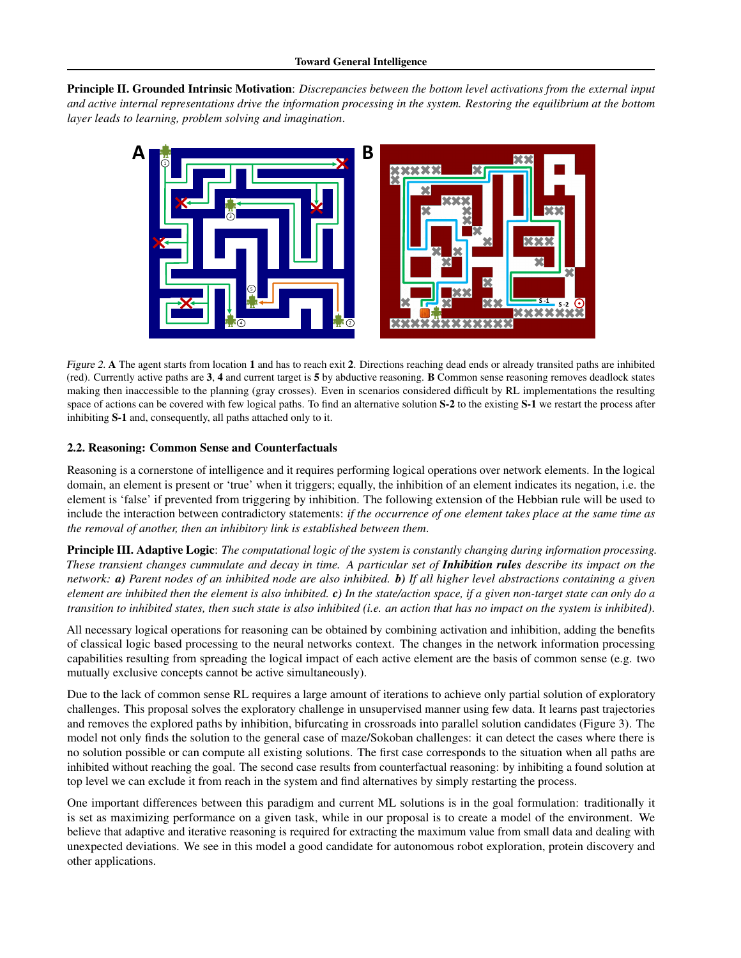Principle II. Grounded Intrinsic Motivation: *Discrepancies between the bottom level activations from the external input and active internal representations drive the information processing in the system. Restoring the equilibrium at the bottom layer leads to learning, problem solving and imagination*.



Figure 2. A The agent starts from location 1 and has to reach exit 2. Directions reaching dead ends or already transited paths are inhibited (red). Currently active paths are 3, 4 and current target is 5 by abductive reasoning. B Common sense reasoning removes deadlock states making then inaccessible to the planning (gray crosses). Even in scenarios considered difficult by RL implementations the resulting space of actions can be covered with few logical paths. To find an alternative solution S-2 to the existing S-1 we restart the process after inhibiting S-1 and, consequently, all paths attached only to it.

#### 2.2. Reasoning: Common Sense and Counterfactuals

Reasoning is a cornerstone of intelligence and it requires performing logical operations over network elements. In the logical domain, an element is present or 'true' when it triggers; equally, the inhibition of an element indicates its negation, i.e. the element is 'false' if prevented from triggering by inhibition. The following extension of the Hebbian rule will be used to include the interaction between contradictory statements: *if the occurrence of one element takes place at the same time as the removal of another, then an inhibitory link is established between them*.

Principle III. Adaptive Logic: *The computational logic of the system is constantly changing during information processing. These transient changes cummulate and decay in time. A particular set of Inhibition rules describe its impact on the network: a) Parent nodes of an inhibited node are also inhibited. b) If all higher level abstractions containing a given element are inhibited then the element is also inhibited. c) In the state/action space, if a given non-target state can only do a transition to inhibited states, then such state is also inhibited (i.e. an action that has no impact on the system is inhibited)*.

All necessary logical operations for reasoning can be obtained by combining activation and inhibition, adding the benefits of classical logic based processing to the neural networks context. The changes in the network information processing capabilities resulting from spreading the logical impact of each active element are the basis of common sense (e.g. two mutually exclusive concepts cannot be active simultaneously).

Due to the lack of common sense RL requires a large amount of iterations to achieve only partial solution of exploratory challenges. This proposal solves the exploratory challenge in unsupervised manner using few data. It learns past trajectories and removes the explored paths by inhibition, bifurcating in crossroads into parallel solution candidates (Figure 3). The model not only finds the solution to the general case of maze/Sokoban challenges: it can detect the cases where there is no solution possible or can compute all existing solutions. The first case corresponds to the situation when all paths are inhibited without reaching the goal. The second case results from counterfactual reasoning: by inhibiting a found solution at top level we can exclude it from reach in the system and find alternatives by simply restarting the process.

One important differences between this paradigm and current ML solutions is in the goal formulation: traditionally it is set as maximizing performance on a given task, while in our proposal is to create a model of the environment. We believe that adaptive and iterative reasoning is required for extracting the maximum value from small data and dealing with unexpected deviations. We see in this model a good candidate for autonomous robot exploration, protein discovery and other applications.